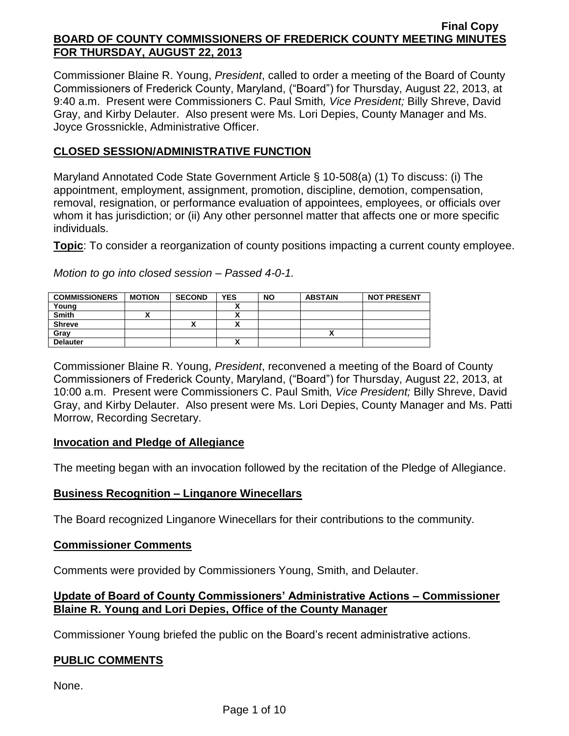Commissioner Blaine R. Young, *President*, called to order a meeting of the Board of County Commissioners of Frederick County, Maryland, ("Board") for Thursday, August 22, 2013, at 9:40 a.m. Present were Commissioners C. Paul Smith*, Vice President;* Billy Shreve, David Gray, and Kirby Delauter. Also present were Ms. Lori Depies, County Manager and Ms. Joyce Grossnickle, Administrative Officer.

## **CLOSED SESSION/ADMINISTRATIVE FUNCTION**

Maryland Annotated Code State Government Article § 10-508(a) (1) To discuss: (i) The appointment, employment, assignment, promotion, discipline, demotion, compensation, removal, resignation, or performance evaluation of appointees, employees, or officials over whom it has jurisdiction; or (ii) Any other personnel matter that affects one or more specific individuals.

**Topic**: To consider a reorganization of county positions impacting a current county employee.

*Motion to go into closed session – Passed 4-0-1.*

| <b>COMMISSIONERS</b> | <b>MOTION</b> | <b>SECOND</b> | YES | <b>NO</b> | <b>ABSTAIN</b> | <b>NOT PRESENT</b> |
|----------------------|---------------|---------------|-----|-----------|----------------|--------------------|
| Young                |               |               |     |           |                |                    |
| <b>Smith</b>         |               |               |     |           |                |                    |
| <b>Shreve</b>        |               | ́             | ~   |           |                |                    |
| Grav                 |               |               |     |           |                |                    |
| <b>Delauter</b>      |               |               |     |           |                |                    |

Commissioner Blaine R. Young, *President*, reconvened a meeting of the Board of County Commissioners of Frederick County, Maryland, ("Board") for Thursday, August 22, 2013, at 10:00 a.m. Present were Commissioners C. Paul Smith*, Vice President;* Billy Shreve, David Gray, and Kirby Delauter. Also present were Ms. Lori Depies, County Manager and Ms. Patti Morrow, Recording Secretary.

### **Invocation and Pledge of Allegiance**

The meeting began with an invocation followed by the recitation of the Pledge of Allegiance.

### **Business Recognition – Linganore Winecellars**

The Board recognized Linganore Winecellars for their contributions to the community.

### **Commissioner Comments**

Comments were provided by Commissioners Young, Smith, and Delauter.

## **Update of Board of County Commissioners' Administrative Actions – Commissioner Blaine R. Young and Lori Depies, Office of the County Manager**

Commissioner Young briefed the public on the Board's recent administrative actions.

### **PUBLIC COMMENTS**

None.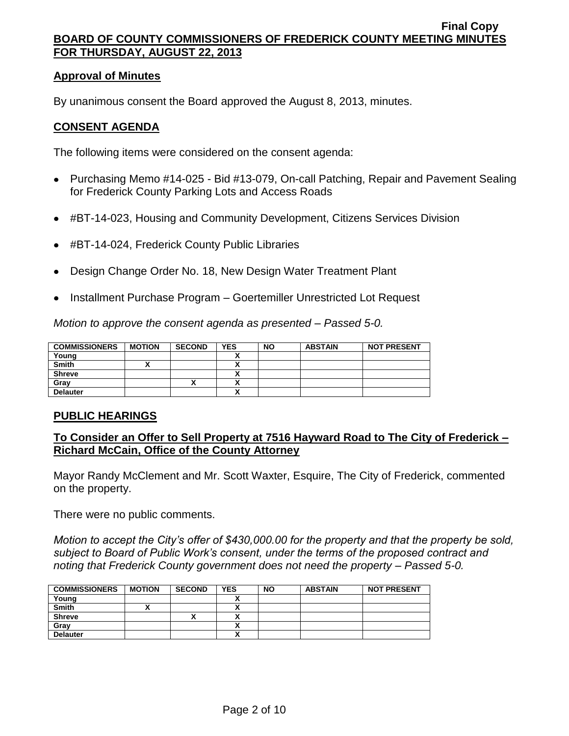#### **Approval of Minutes**

By unanimous consent the Board approved the August 8, 2013, minutes.

## **CONSENT AGENDA**

The following items were considered on the consent agenda:

- Purchasing Memo #14-025 Bid #13-079, On-call Patching, Repair and Pavement Sealing for Frederick County Parking Lots and Access Roads
- #BT-14-023, Housing and Community Development, Citizens Services Division  $\bullet$
- #BT-14-024, Frederick County Public Libraries
- Design Change Order No. 18, New Design Water Treatment Plant
- Installment Purchase Program Goertemiller Unrestricted Lot Request

*Motion to approve the consent agenda as presented – Passed 5-0.*

| <b>COMMISSIONERS</b> | <b>MOTION</b> | <b>SECOND</b> | <b>YES</b>           | <b>NO</b> | <b>ABSTAIN</b> | <b>NOT PRESENT</b> |
|----------------------|---------------|---------------|----------------------|-----------|----------------|--------------------|
| Young                |               |               |                      |           |                |                    |
| <b>Smith</b>         |               |               | v<br>                |           |                |                    |
| <b>Shreve</b>        |               |               |                      |           |                |                    |
| Gray                 |               |               |                      |           |                |                    |
| <b>Delauter</b>      |               |               | $\ddot{\phantom{1}}$ |           |                |                    |

### **PUBLIC HEARINGS**

## **To Consider an Offer to Sell Property at 7516 Hayward Road to The City of Frederick – Richard McCain, Office of the County Attorney**

Mayor Randy McClement and Mr. Scott Waxter, Esquire, The City of Frederick, commented on the property.

There were no public comments.

*Motion to accept the City's offer of \$430,000.00 for the property and that the property be sold, subject to Board of Public Work's consent, under the terms of the proposed contract and noting that Frederick County government does not need the property – Passed 5-0.*

| <b>COMMISSIONERS</b> | <b>MOTION</b> | <b>SECOND</b> | <b>YES</b>           | <b>NO</b> | <b>ABSTAIN</b> | <b>NOT PRESENT</b> |
|----------------------|---------------|---------------|----------------------|-----------|----------------|--------------------|
| Young                |               |               | $\ddot{\phantom{1}}$ |           |                |                    |
| <b>Smith</b>         |               |               |                      |           |                |                    |
| <b>Shreve</b>        |               | ~             |                      |           |                |                    |
| Gray                 |               |               |                      |           |                |                    |
| <b>Delauter</b>      |               |               | $\mathbf{v}$         |           |                |                    |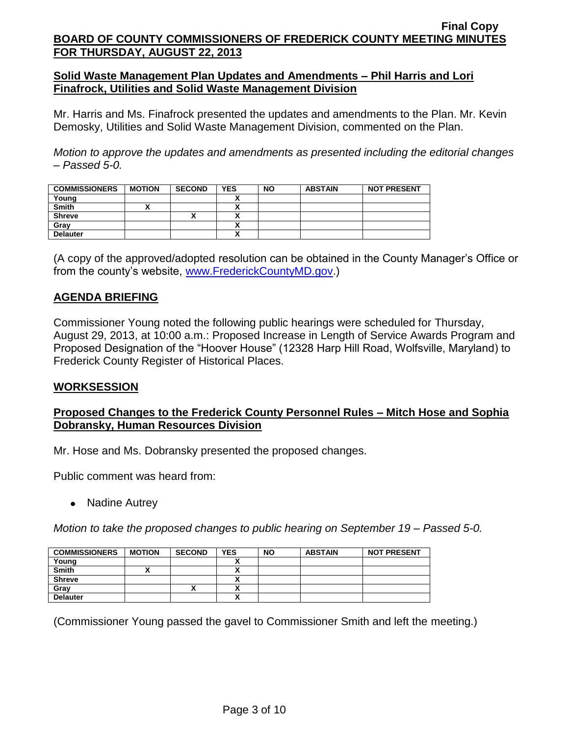## **Solid Waste Management Plan Updates and Amendments – Phil Harris and Lori Finafrock, Utilities and Solid Waste Management Division**

Mr. Harris and Ms. Finafrock presented the updates and amendments to the Plan. Mr. Kevin Demosky, Utilities and Solid Waste Management Division, commented on the Plan.

*Motion to approve the updates and amendments as presented including the editorial changes – Passed 5-0.*

| <b>COMMISSIONERS</b> | <b>MOTION</b> | <b>SECOND</b> | <b>YES</b> | <b>NO</b> | <b>ABSTAIN</b> | <b>NOT PRESENT</b> |
|----------------------|---------------|---------------|------------|-----------|----------------|--------------------|
| Young                |               |               |            |           |                |                    |
| <b>Smith</b>         |               |               |            |           |                |                    |
| <b>Shreve</b>        |               |               |            |           |                |                    |
| Gray                 |               |               |            |           |                |                    |
| <b>Delauter</b>      |               |               |            |           |                |                    |

(A copy of the approved/adopted resolution can be obtained in the County Manager's Office or from the county's website, [www.FrederickCountyMD.gov.](http://www.frederickcountymd.gov/))

## **AGENDA BRIEFING**

Commissioner Young noted the following public hearings were scheduled for Thursday, August 29, 2013, at 10:00 a.m.: Proposed Increase in Length of Service Awards Program and Proposed Designation of the "Hoover House" (12328 Harp Hill Road, Wolfsville, Maryland) to Frederick County Register of Historical Places.

### **WORKSESSION**

## **Proposed Changes to the Frederick County Personnel Rules – Mitch Hose and Sophia Dobransky, Human Resources Division**

Mr. Hose and Ms. Dobransky presented the proposed changes.

Public comment was heard from:

• Nadine Autrey

*Motion to take the proposed changes to public hearing on September 19 – Passed 5-0.*

| <b>COMMISSIONERS</b> | <b>MOTION</b> | <b>SECOND</b> | <b>YES</b>               | <b>NO</b> | <b>ABSTAIN</b> | <b>NOT PRESENT</b> |
|----------------------|---------------|---------------|--------------------------|-----------|----------------|--------------------|
| Young                |               |               |                          |           |                |                    |
| <b>Smith</b>         |               |               |                          |           |                |                    |
| <b>Shreve</b>        |               |               |                          |           |                |                    |
| Gray                 |               | Λ             | $\overline{\phantom{a}}$ |           |                |                    |
| <b>Delauter</b>      |               |               | $\mathbf{v}$             |           |                |                    |

(Commissioner Young passed the gavel to Commissioner Smith and left the meeting.)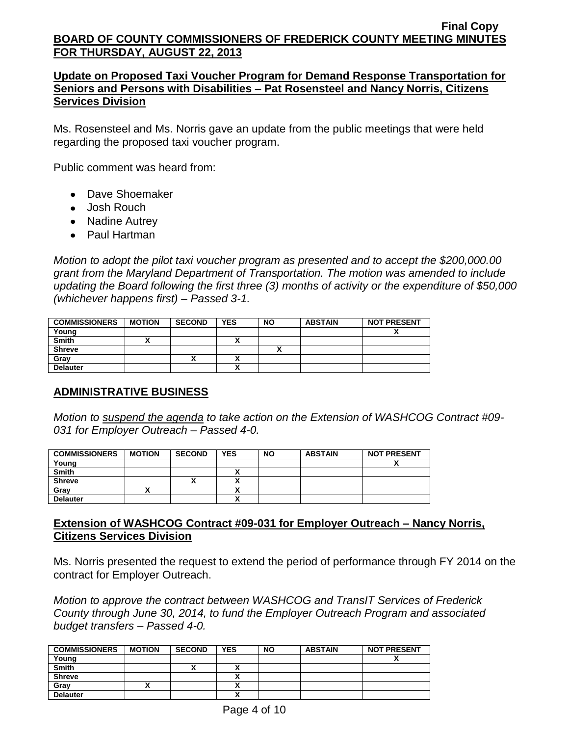## **Update on Proposed Taxi Voucher Program for Demand Response Transportation for Seniors and Persons with Disabilities – Pat Rosensteel and Nancy Norris, Citizens Services Division**

Ms. Rosensteel and Ms. Norris gave an update from the public meetings that were held regarding the proposed taxi voucher program.

Public comment was heard from:

- Dave Shoemaker
- Josh Rouch
- Nadine Autrey
- Paul Hartman

*Motion to adopt the pilot taxi voucher program as presented and to accept the \$200,000.00 grant from the Maryland Department of Transportation. The motion was amended to include updating the Board following the first three (3) months of activity or the expenditure of \$50,000 (whichever happens first) – Passed 3-1.*

| <b>COMMISSIONERS</b> | <b>MOTION</b> | <b>SECOND</b> | <b>YES</b> | <b>NO</b> | <b>ABSTAIN</b> | <b>NOT PRESENT</b> |
|----------------------|---------------|---------------|------------|-----------|----------------|--------------------|
| Young                |               |               |            |           |                | ~                  |
| <b>Smith</b>         |               |               | ~          |           |                |                    |
| <b>Shreve</b>        |               |               |            |           |                |                    |
| Gray                 |               | '             |            |           |                |                    |
| <b>Delauter</b>      |               |               | ~          |           |                |                    |

# **ADMINISTRATIVE BUSINESS**

*Motion to suspend the agenda to take action on the Extension of WASHCOG Contract #09- 031 for Employer Outreach – Passed 4-0.*

| <b>COMMISSIONERS</b> | <b>MOTION</b> | <b>SECOND</b> | <b>YES</b> | <b>NO</b> | <b>ABSTAIN</b> | <b>NOT PRESENT</b> |
|----------------------|---------------|---------------|------------|-----------|----------------|--------------------|
| Young                |               |               |            |           |                | Λ                  |
| <b>Smith</b>         |               |               |            |           |                |                    |
| <b>Shreve</b>        |               | ↗             |            |           |                |                    |
| Gray                 |               |               |            |           |                |                    |
| <b>Delauter</b>      |               |               | v          |           |                |                    |

## **Extension of WASHCOG Contract #09-031 for Employer Outreach – Nancy Norris, Citizens Services Division**

Ms. Norris presented the request to extend the period of performance through FY 2014 on the contract for Employer Outreach.

*Motion to approve the contract between WASHCOG and TransIT Services of Frederick County through June 30, 2014, to fund the Employer Outreach Program and associated budget transfers – Passed 4-0.*

| <b>COMMISSIONERS</b> | <b>MOTION</b> | <b>SECOND</b> | <b>YES</b> | <b>NO</b> | <b>ABSTAIN</b> | <b>NOT PRESENT</b> |
|----------------------|---------------|---------------|------------|-----------|----------------|--------------------|
| Young                |               |               |            |           |                |                    |
| <b>Smith</b>         |               | "             |            |           |                |                    |
| <b>Shreve</b>        |               |               | ,,,        |           |                |                    |
| Gray                 |               |               |            |           |                |                    |
| <b>Delauter</b>      |               |               |            |           |                |                    |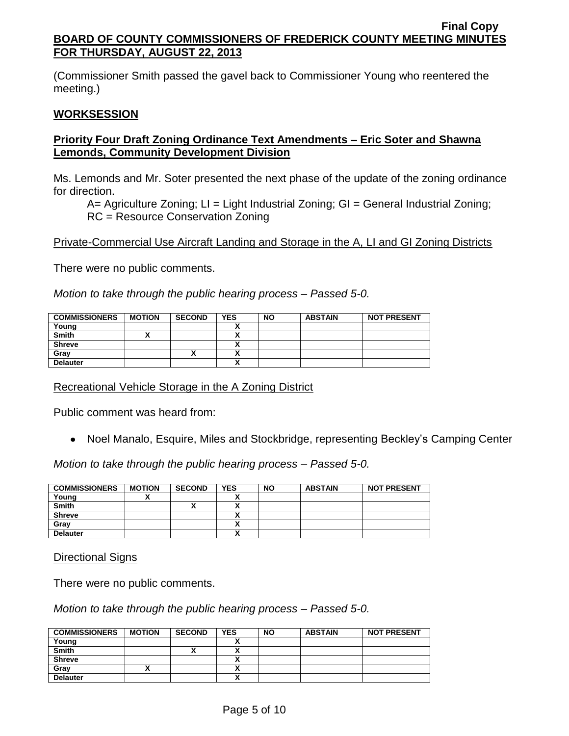(Commissioner Smith passed the gavel back to Commissioner Young who reentered the meeting.)

## **WORKSESSION**

## **Priority Four Draft Zoning Ordinance Text Amendments – Eric Soter and Shawna Lemonds, Community Development Division**

Ms. Lemonds and Mr. Soter presented the next phase of the update of the zoning ordinance for direction.

A= Agriculture Zoning; LI = Light Industrial Zoning; GI = General Industrial Zoning; RC = Resource Conservation Zoning

## Private-Commercial Use Aircraft Landing and Storage in the A, LI and GI Zoning Districts

There were no public comments.

*Motion to take through the public hearing process – Passed 5-0.*

| <b>COMMISSIONERS</b> | <b>MOTION</b> | <b>SECOND</b> | <b>YES</b> | <b>NO</b> | <b>ABSTAIN</b> | <b>NOT PRESENT</b> |
|----------------------|---------------|---------------|------------|-----------|----------------|--------------------|
| Young                |               |               |            |           |                |                    |
| <b>Smith</b>         |               |               |            |           |                |                    |
| <b>Shreve</b>        |               |               |            |           |                |                    |
| Gray                 |               | Λ             |            |           |                |                    |
| <b>Delauter</b>      |               |               |            |           |                |                    |

### Recreational Vehicle Storage in the A Zoning District

Public comment was heard from:

Noel Manalo, Esquire, Miles and Stockbridge, representing Beckley's Camping Center

*Motion to take through the public hearing process – Passed 5-0.*

| <b>COMMISSIONERS</b> | <b>MOTION</b> | <b>SECOND</b> | <b>YES</b> | <b>NO</b> | <b>ABSTAIN</b> | <b>NOT PRESENT</b> |
|----------------------|---------------|---------------|------------|-----------|----------------|--------------------|
| Young                |               |               |            |           |                |                    |
| <b>Smith</b>         |               |               |            |           |                |                    |
| <b>Shreve</b>        |               |               |            |           |                |                    |
| Gray                 |               |               |            |           |                |                    |
| <b>Delauter</b>      |               |               |            |           |                |                    |

#### Directional Signs

There were no public comments.

*Motion to take through the public hearing process – Passed 5-0.*

| <b>COMMISSIONERS</b> | <b>MOTION</b> | <b>SECOND</b> | <b>YES</b> | <b>NO</b> | <b>ABSTAIN</b> | <b>NOT PRESENT</b> |
|----------------------|---------------|---------------|------------|-----------|----------------|--------------------|
| Young                |               |               |            |           |                |                    |
| <b>Smith</b>         |               | ↗             |            |           |                |                    |
| <b>Shreve</b>        |               |               |            |           |                |                    |
| Gray                 |               |               |            |           |                |                    |
| <b>Delauter</b>      |               |               |            |           |                |                    |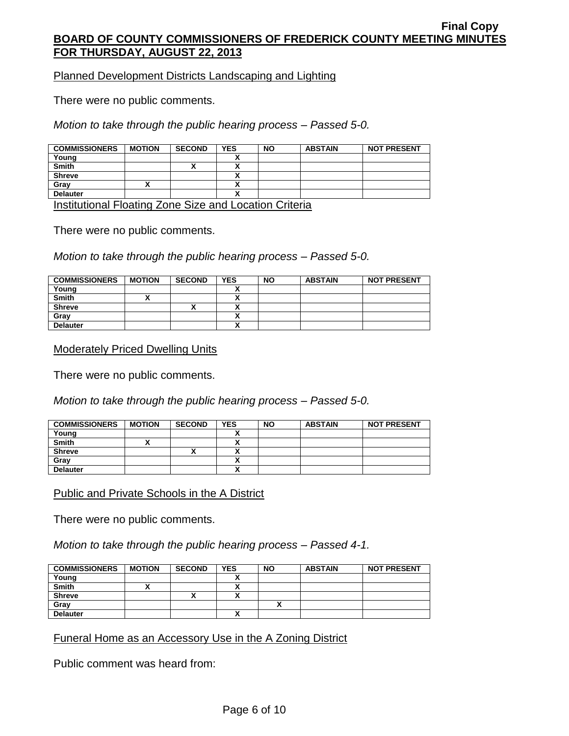Planned Development Districts Landscaping and Lighting

There were no public comments.

*Motion to take through the public hearing process – Passed 5-0.*

| <b>COMMISSIONERS</b> | <b>MOTION</b> | <b>SECOND</b> | <b>YES</b> | <b>NO</b> | <b>ABSTAIN</b> | <b>NOT PRESENT</b> |
|----------------------|---------------|---------------|------------|-----------|----------------|--------------------|
| Young                |               |               |            |           |                |                    |
| <b>Smith</b>         |               | ↗             | ~          |           |                |                    |
| <b>Shreve</b>        |               |               | Λ          |           |                |                    |
| Gray                 |               |               | ~          |           |                |                    |
| <b>Delauter</b>      |               |               | ^          |           |                |                    |

Institutional Floating Zone Size and Location Criteria

There were no public comments.

*Motion to take through the public hearing process – Passed 5-0.*

| <b>COMMISSIONERS</b> | <b>MOTION</b> | <b>SECOND</b> | YES | <b>NO</b> | <b>ABSTAIN</b> | <b>NOT PRESENT</b> |
|----------------------|---------------|---------------|-----|-----------|----------------|--------------------|
| Young                |               |               |     |           |                |                    |
| <b>Smith</b>         |               |               |     |           |                |                    |
| <b>Shreve</b>        |               |               |     |           |                |                    |
| Gray                 |               |               |     |           |                |                    |
| <b>Delauter</b>      |               |               |     |           |                |                    |

#### Moderately Priced Dwelling Units

There were no public comments.

*Motion to take through the public hearing process – Passed 5-0.*

| <b>COMMISSIONERS</b> | <b>MOTION</b> | <b>SECOND</b> | <b>YES</b> | <b>NO</b> | <b>ABSTAIN</b> | <b>NOT PRESENT</b> |
|----------------------|---------------|---------------|------------|-----------|----------------|--------------------|
| Young                |               |               |            |           |                |                    |
| <b>Smith</b>         |               |               |            |           |                |                    |
| <b>Shreve</b>        |               |               |            |           |                |                    |
| Gray                 |               |               |            |           |                |                    |
| <b>Delauter</b>      |               |               |            |           |                |                    |

Public and Private Schools in the A District

There were no public comments.

*Motion to take through the public hearing process – Passed 4-1.*

| <b>COMMISSIONERS</b> | <b>MOTION</b> | <b>SECOND</b>      | <b>YES</b> | <b>NO</b> | <b>ABSTAIN</b> | <b>NOT PRESENT</b> |
|----------------------|---------------|--------------------|------------|-----------|----------------|--------------------|
| Young                |               |                    |            |           |                |                    |
| <b>Smith</b>         |               |                    |            |           |                |                    |
| <b>Shreve</b>        |               | $\mathbf{\Lambda}$ |            |           |                |                    |
| Gray                 |               |                    |            |           |                |                    |
| <b>Delauter</b>      |               |                    |            |           |                |                    |

Funeral Home as an Accessory Use in the A Zoning District

Public comment was heard from: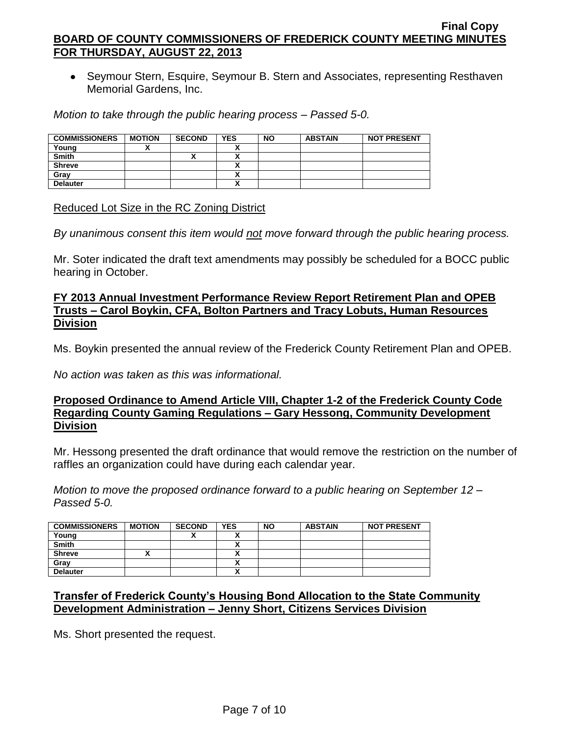• Seymour Stern, Esquire, Seymour B. Stern and Associates, representing Resthaven Memorial Gardens, Inc.

*Motion to take through the public hearing process – Passed 5-0.*

| <b>COMMISSIONERS</b> | <b>MOTION</b> | <b>SECOND</b> | <b>YES</b> | <b>NO</b> | <b>ABSTAIN</b> | <b>NOT PRESENT</b> |
|----------------------|---------------|---------------|------------|-----------|----------------|--------------------|
| Young                |               |               |            |           |                |                    |
| <b>Smith</b>         |               |               |            |           |                |                    |
| <b>Shreve</b>        |               |               |            |           |                |                    |
| Grav                 |               |               |            |           |                |                    |
| <b>Delauter</b>      |               |               |            |           |                |                    |

#### Reduced Lot Size in the RC Zoning District

*By unanimous consent this item would not move forward through the public hearing process.*

Mr. Soter indicated the draft text amendments may possibly be scheduled for a BOCC public hearing in October.

### **FY 2013 Annual Investment Performance Review Report Retirement Plan and OPEB Trusts – Carol Boykin, CFA, Bolton Partners and Tracy Lobuts, Human Resources Division**

Ms. Boykin presented the annual review of the Frederick County Retirement Plan and OPEB.

*No action was taken as this was informational.*

### **Proposed Ordinance to Amend Article VIII, Chapter 1-2 of the Frederick County Code Regarding County Gaming Regulations – Gary Hessong, Community Development Division**

Mr. Hessong presented the draft ordinance that would remove the restriction on the number of raffles an organization could have during each calendar year.

*Motion to move the proposed ordinance forward to a public hearing on September 12 – Passed 5-0.*

| <b>COMMISSIONERS</b> | <b>MOTION</b> | <b>SECOND</b> | <b>YES</b>   | <b>NO</b> | <b>ABSTAIN</b> | <b>NOT PRESENT</b> |
|----------------------|---------------|---------------|--------------|-----------|----------------|--------------------|
| Young                |               |               |              |           |                |                    |
| <b>Smith</b>         |               |               |              |           |                |                    |
| <b>Shreve</b>        |               |               |              |           |                |                    |
| Grav                 |               |               |              |           |                |                    |
| <b>Delauter</b>      |               |               | $\mathbf{v}$ |           |                |                    |

## **Transfer of Frederick County's Housing Bond Allocation to the State Community Development Administration – Jenny Short, Citizens Services Division**

Ms. Short presented the request.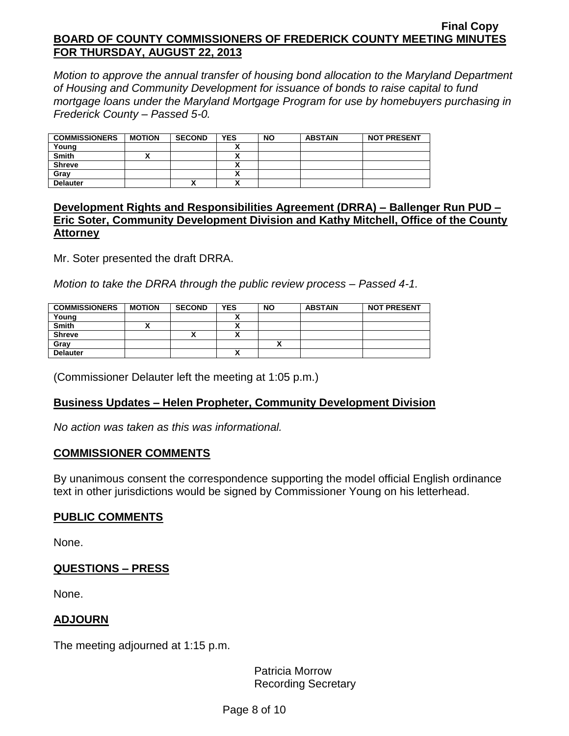*Motion to approve the annual transfer of housing bond allocation to the Maryland Department of Housing and Community Development for issuance of bonds to raise capital to fund mortgage loans under the Maryland Mortgage Program for use by homebuyers purchasing in Frederick County – Passed 5-0.*

| <b>COMMISSIONERS</b> | <b>MOTION</b> | <b>SECOND</b> | <b>YES</b> | <b>NO</b> | <b>ABSTAIN</b> | <b>NOT PRESENT</b> |
|----------------------|---------------|---------------|------------|-----------|----------------|--------------------|
| Young                |               |               |            |           |                |                    |
| <b>Smith</b>         |               |               |            |           |                |                    |
| <b>Shreve</b>        |               |               |            |           |                |                    |
| Grav                 |               |               |            |           |                |                    |
| <b>Delauter</b>      |               | Λ             |            |           |                |                    |

### **Development Rights and Responsibilities Agreement (DRRA) – Ballenger Run PUD – Eric Soter, Community Development Division and Kathy Mitchell, Office of the County Attorney**

Mr. Soter presented the draft DRRA.

*Motion to take the DRRA through the public review process – Passed 4-1.*

| <b>COMMISSIONERS</b> | <b>MOTION</b> | <b>SECOND</b> | YES | <b>NO</b> | <b>ABSTAIN</b> | <b>NOT PRESENT</b> |
|----------------------|---------------|---------------|-----|-----------|----------------|--------------------|
| Young                |               |               |     |           |                |                    |
| <b>Smith</b>         |               |               |     |           |                |                    |
| <b>Shreve</b>        |               | ́             |     |           |                |                    |
| Grav                 |               |               |     |           |                |                    |
| <b>Delauter</b>      |               |               |     |           |                |                    |

(Commissioner Delauter left the meeting at 1:05 p.m.)

### **Business Updates – Helen Propheter, Community Development Division**

*No action was taken as this was informational.*

### **COMMISSIONER COMMENTS**

By unanimous consent the correspondence supporting the model official English ordinance text in other jurisdictions would be signed by Commissioner Young on his letterhead.

### **PUBLIC COMMENTS**

None.

### **QUESTIONS – PRESS**

None.

### **ADJOURN**

The meeting adjourned at 1:15 p.m.

Patricia Morrow Recording Secretary

Page 8 of 10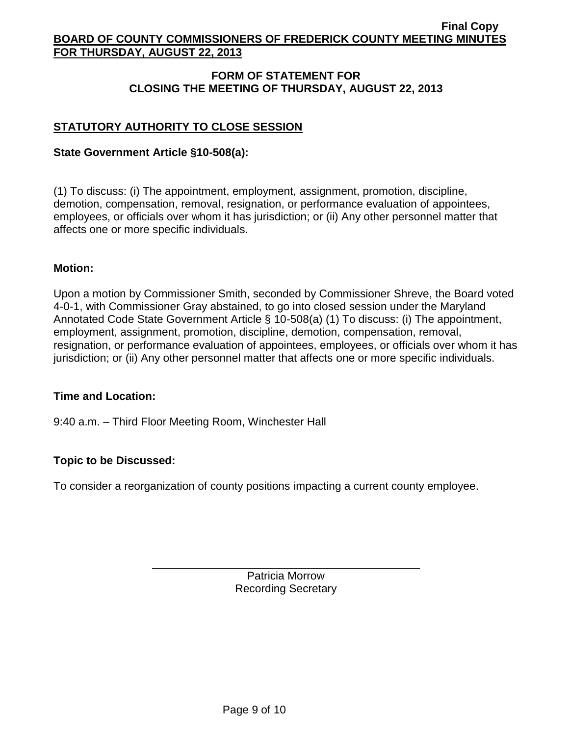## **FORM OF STATEMENT FOR CLOSING THE MEETING OF THURSDAY, AUGUST 22, 2013**

## **STATUTORY AUTHORITY TO CLOSE SESSION**

### **State Government Article §10-508(a):**

(1) To discuss: (i) The appointment, employment, assignment, promotion, discipline, demotion, compensation, removal, resignation, or performance evaluation of appointees, employees, or officials over whom it has jurisdiction; or (ii) Any other personnel matter that affects one or more specific individuals.

#### **Motion:**

Upon a motion by Commissioner Smith, seconded by Commissioner Shreve, the Board voted 4-0-1, with Commissioner Gray abstained, to go into closed session under the Maryland Annotated Code State Government Article § 10-508(a) (1) To discuss: (i) The appointment, employment, assignment, promotion, discipline, demotion, compensation, removal, resignation, or performance evaluation of appointees, employees, or officials over whom it has jurisdiction; or (ii) Any other personnel matter that affects one or more specific individuals.

#### **Time and Location:**

9:40 a.m. – Third Floor Meeting Room, Winchester Hall

### **Topic to be Discussed:**

To consider a reorganization of county positions impacting a current county employee.

Patricia Morrow Recording Secretary